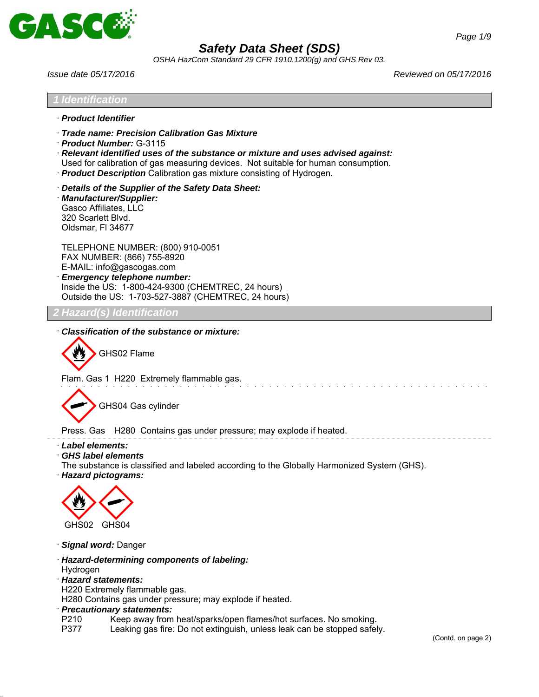

*OSHA HazCom Standard 29 CFR 1910.1200(g) and GHS Rev 03.*

*Issue date 05/17/2016 Reviewed on 05/17/2016*



- · *Precautionary statements:*
- Keep away from heat/sparks/open flames/hot surfaces. No smoking.
- P377 Leaking gas fire: Do not extinguish, unless leak can be stopped safely.

(Contd. on page 2)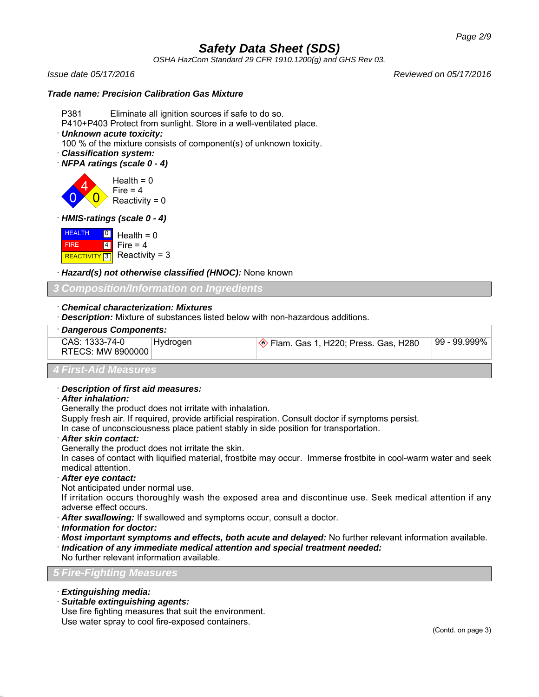*OSHA HazCom Standard 29 CFR 1910.1200(g) and GHS Rev 03.*

*Issue date 05/17/2016 Reviewed on 05/17/2016*

### *Trade name: Precision Calibration Gas Mixture*

- P381 Eliminate all ignition sources if safe to do so.
- P410+P403 Protect from sunlight. Store in a well-ventilated place.
- · *Unknown acute toxicity:*
- 100 % of the mixture consists of component(s) of unknown toxicity.
- · *Classification system:*
- · *NFPA ratings (scale 0 4)*

0 4  $\overline{\mathbf{0}}$ Health  $= 0$ Fire  $= 4$ Reactivity =  $0$ 

· *HMIS-ratings (scale 0 - 4)*

**HEALTH**  FIRE  $R$  Reactivity = 3  $\overline{\phantom{0}}$ 4  $Health = 0$ Fire  $= 4$ 

· *Hazard(s) not otherwise classified (HNOC):* None known

*3 Composition/Information on Ingredients*

· *Chemical characterization: Mixtures*

· *Description:* Mixture of substances listed below with non-hazardous additions.

| Dangerous Components:               |          |                                              |                |  |
|-------------------------------------|----------|----------------------------------------------|----------------|--|
| CAS: 1333-74-0<br>RTECS: MW 8900000 | Hydrogen | <u>◆</u> Flam. Gas 1, H220; Press. Gas, H280 | 99 - 99.999% ∣ |  |
| <b>4 First-Aid Measures</b>         |          |                                              |                |  |

# · *Description of first aid measures:*

· *After inhalation:*

Generally the product does not irritate with inhalation.

Supply fresh air. If required, provide artificial respiration. Consult doctor if symptoms persist.

In case of unconsciousness place patient stably in side position for transportation.

- · *After skin contact:*
- Generally the product does not irritate the skin.

In cases of contact with liquified material, frostbite may occur. Immerse frostbite in cool-warm water and seek medical attention.

· *After eye contact:*

Not anticipated under normal use.

If irritation occurs thoroughly wash the exposed area and discontinue use. Seek medical attention if any adverse effect occurs.

- · *After swallowing:* If swallowed and symptoms occur, consult a doctor.
- · *Information for doctor:*
- · *Most important symptoms and effects, both acute and delayed:* No further relevant information available.

· *Indication of any immediate medical attention and special treatment needed:*

No further relevant information available.

### *5 Fire-Fighting Measures*

- · *Extinguishing media:*
- · *Suitable extinguishing agents:*

Use fire fighting measures that suit the environment. Use water spray to cool fire-exposed containers.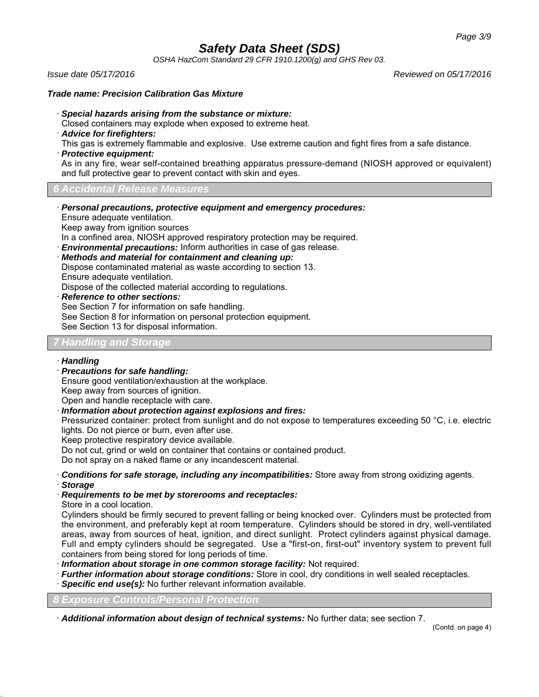*OSHA HazCom Standard 29 CFR 1910.1200(g) and GHS Rev 03.*

*Issue date 05/17/2016 Reviewed on 05/17/2016*

### *Trade name: Precision Calibration Gas Mixture*

- · *Special hazards arising from the substance or mixture:*
- Closed containers may explode when exposed to extreme heat.
- · *Advice for firefighters:*
- This gas is extremely flammable and explosive. Use extreme caution and fight fires from a safe distance.
- · *Protective equipment:*

As in any fire, wear self-contained breathing apparatus pressure-demand (NIOSH approved or equivalent) and full protective gear to prevent contact with skin and eyes.

# *6 Accidental Release Measures*

· *Personal precautions, protective equipment and emergency procedures:* Ensure adequate ventilation. Keep away from ignition sources

In a confined area, NIOSH approved respiratory protection may be required.

· *Environmental precautions:* Inform authorities in case of gas release.

· *Methods and material for containment and cleaning up:*

Dispose contaminated material as waste according to section 13. Ensure adequate ventilation.

Dispose of the collected material according to regulations.

· *Reference to other sections:*

See Section 7 for information on safe handling. See Section 8 for information on personal protection equipment. See Section 13 for disposal information.

# *7 Handling and Storage*

# · *Handling*

· *Precautions for safe handling:*

Ensure good ventilation/exhaustion at the workplace. Keep away from sources of ignition.

Open and handle receptacle with care.

· *Information about protection against explosions and fires:*

Pressurized container: protect from sunlight and do not expose to temperatures exceeding 50 °C, i.e. electric lights. Do not pierce or burn, even after use.

Keep protective respiratory device available.

Do not cut, grind or weld on container that contains or contained product.

Do not spray on a naked flame or any incandescent material.

· *Conditions for safe storage, including any incompatibilities:* Store away from strong oxidizing agents.

· *Storage*

# · *Requirements to be met by storerooms and receptacles:*

Store in a cool location.

Cylinders should be firmly secured to prevent falling or being knocked over. Cylinders must be protected from the environment, and preferably kept at room temperature. Cylinders should be stored in dry, well-ventilated areas, away from sources of heat, ignition, and direct sunlight. Protect cylinders against physical damage. Full and empty cylinders should be segregated. Use a "first-on, first-out" inventory system to prevent full containers from being stored for long periods of time.

- · *Information about storage in one common storage facility:* Not required.
- · *Further information about storage conditions:* Store in cool, dry conditions in well sealed receptacles.
- **Specific end use(s):** No further relevant information available.

*8 Exposure Controls/Personal Protection*

· *Additional information about design of technical systems:* No further data; see section 7.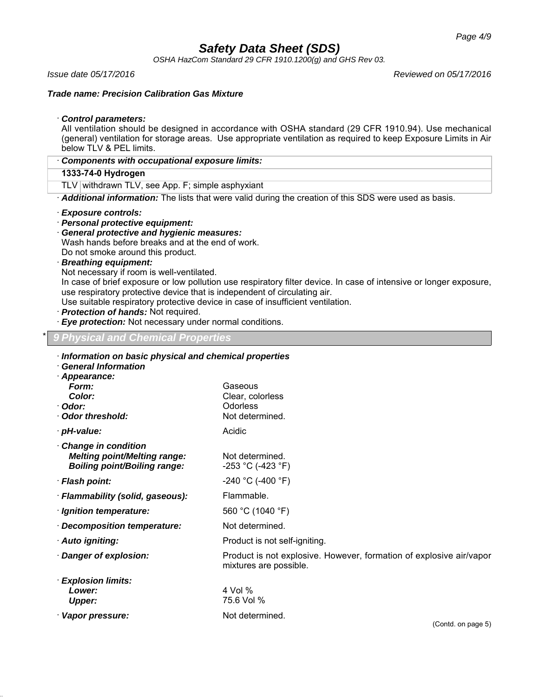*OSHA HazCom Standard 29 CFR 1910.1200(g) and GHS Rev 03.*

*Issue date 05/17/2016 Reviewed on 05/17/2016*

*Trade name: Precision Calibration Gas Mixture*

· *Control parameters:*

All ventilation should be designed in accordance with OSHA standard (29 CFR 1910.94). Use mechanical (general) ventilation for storage areas. Use appropriate ventilation as required to keep Exposure Limits in Air below TLV & PEL limits.

· *Components with occupational exposure limits:*

# **1333-74-0 Hydrogen**

TLV withdrawn TLV, see App. F; simple asphyxiant

· *Additional information:* The lists that were valid during the creation of this SDS were used as basis.

- · *Exposure controls:*
- · *Personal protective equipment:*
- · *General protective and hygienic measures:* Wash hands before breaks and at the end of work.

Do not smoke around this product.

· *Breathing equipment:*

Not necessary if room is well-ventilated.

In case of brief exposure or low pollution use respiratory filter device. In case of intensive or longer exposure, use respiratory protective device that is independent of circulating air.

Use suitable respiratory protective device in case of insufficient ventilation.

- · *Protection of hands:* Not required.
- · *Eye protection:* Not necessary under normal conditions.

# \* *9 Physical and Chemical Properties*

| Information on basic physical and chemical properties<br><b>General Information</b>               |                                                                                               |
|---------------------------------------------------------------------------------------------------|-----------------------------------------------------------------------------------------------|
| · Appearance:<br>Form:<br>Color:<br>∙ Odor:<br>Odor threshold:                                    | Gaseous<br>Clear, colorless<br>Odorless<br>Not determined.                                    |
| · pH-value:                                                                                       | Acidic                                                                                        |
| Change in condition<br><b>Melting point/Melting range:</b><br><b>Boiling point/Boiling range:</b> | Not determined.<br>-253 °C (-423 °F)                                                          |
| · Flash point:                                                                                    | $-240$ °C (-400 °F)                                                                           |
| · Flammability (solid, gaseous):                                                                  | Flammable.                                                                                    |
| · Ignition temperature:                                                                           | 560 °C (1040 °F)                                                                              |
| · Decomposition temperature:                                                                      | Not determined.                                                                               |
| · Auto igniting:                                                                                  | Product is not self-igniting.                                                                 |
| Danger of explosion:                                                                              | Product is not explosive. However, formation of explosive air/vapor<br>mixtures are possible. |
| <b>Explosion limits:</b><br>Lower:<br><b>Upper:</b>                                               | 4 Vol %<br>75.6 Vol %                                                                         |
| Vapor pressure:                                                                                   | Not determined.<br>$(Confd)$ on none $F$ )                                                    |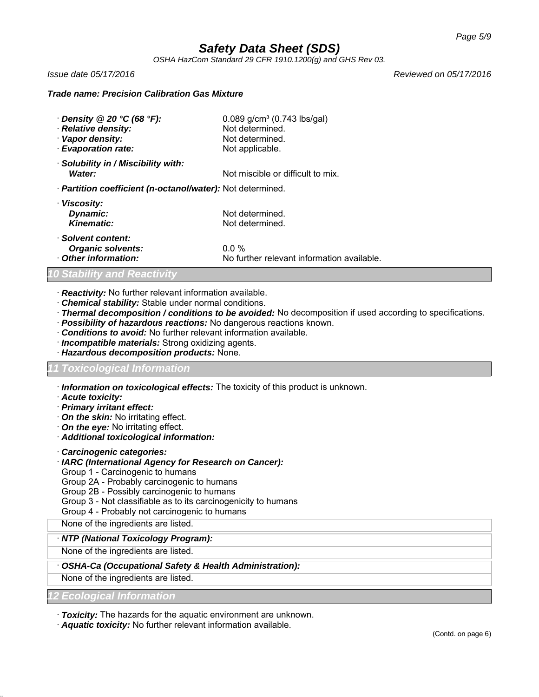*OSHA HazCom Standard 29 CFR 1910.1200(g) and GHS Rev 03.*

*Issue date 05/17/2016 Reviewed on 05/17/2016*

### *Trade name: Precision Calibration Gas Mixture*

| $\cdot$ Density @ 20 °C (68 °F):<br>· Relative density:<br>Vapor density:<br>· Evaporation rate: | $0.089$ g/cm <sup>3</sup> (0.743 lbs/gal)<br>Not determined.<br>Not determined.<br>Not applicable. |  |
|--------------------------------------------------------------------------------------------------|----------------------------------------------------------------------------------------------------|--|
| · Solubility in / Miscibility with:<br>Water:                                                    | Not miscible or difficult to mix.                                                                  |  |
| · <b>Partition coefficient (n-octanol/water):</b> Not determined.                                |                                                                                                    |  |
| · Viscosity:<br>Dynamic:<br>Kinematic:                                                           | Not determined.<br>Not determined.                                                                 |  |
| · Solvent content:<br><b>Organic solvents:</b><br>Other information:                             | $0.0\%$<br>No further relevant information available.                                              |  |

### *10 Stability and Reactivity*

- · *Reactivity:* No further relevant information available.
- · *Chemical stability:* Stable under normal conditions.
- · *Thermal decomposition / conditions to be avoided:* No decomposition if used according to specifications.
- · *Possibility of hazardous reactions:* No dangerous reactions known.
- · *Conditions to avoid:* No further relevant information available.
- · *Incompatible materials:* Strong oxidizing agents.
- · *Hazardous decomposition products:* None.

# *11 Toxicological Information*

· *Information on toxicological effects:* The toxicity of this product is unknown.

- · *Acute toxicity:*
- · *Primary irritant effect:*
- · *On the skin:* No irritating effect.
- · *On the eye:* No irritating effect.
- · *Additional toxicological information:*
- · *Carcinogenic categories:*
- · *IARC (International Agency for Research on Cancer):*
- Group 1 Carcinogenic to humans
- Group 2A Probably carcinogenic to humans
- Group 2B Possibly carcinogenic to humans
- Group 3 Not classifiable as to its carcinogenicity to humans
- Group 4 Probably not carcinogenic to humans

None of the ingredients are listed.

· *NTP (National Toxicology Program):*

None of the ingredients are listed.

# · *OSHA-Ca (Occupational Safety & Health Administration):*

None of the ingredients are listed.

*12 Ecological Information*

· *Toxicity:* The hazards for the aquatic environment are unknown.

· *Aquatic toxicity:* No further relevant information available.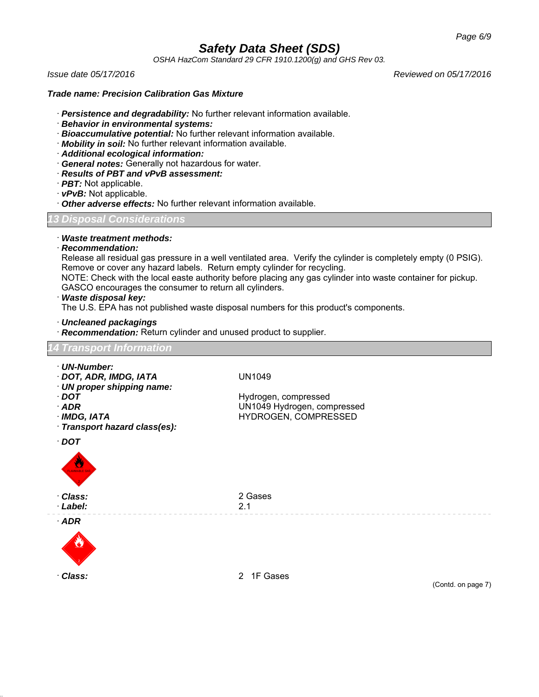*OSHA HazCom Standard 29 CFR 1910.1200(g) and GHS Rev 03.*

*Issue date 05/17/2016 Reviewed on 05/17/2016*

#### *Trade name: Precision Calibration Gas Mixture*

- · *Persistence and degradability:* No further relevant information available.
- · *Behavior in environmental systems:*
- · *Bioaccumulative potential:* No further relevant information available.
- · *Mobility in soil:* No further relevant information available.
- · *Additional ecological information:*
- · *General notes:* Generally not hazardous for water.
- · *Results of PBT and vPvB assessment:*
- · *PBT:* Not applicable.
- · *vPvB:* Not applicable.
- · *Other adverse effects:* No further relevant information available.

# *13 Disposal Considerations*

· *Waste treatment methods:*

#### · *Recommendation:*

Release all residual gas pressure in a well ventilated area. Verify the cylinder is completely empty (0 PSIG). Remove or cover any hazard labels. Return empty cylinder for recycling.

NOTE: Check with the local easte authority before placing any gas cylinder into waste container for pickup. GASCO encourages the consumer to return all cylinders.

#### · *Waste disposal key:*

The U.S. EPA has not published waste disposal numbers for this product's components.

· *Uncleaned packagings*

· *Recommendation:* Return cylinder and unused product to supplier.

### *14 Transport Information*

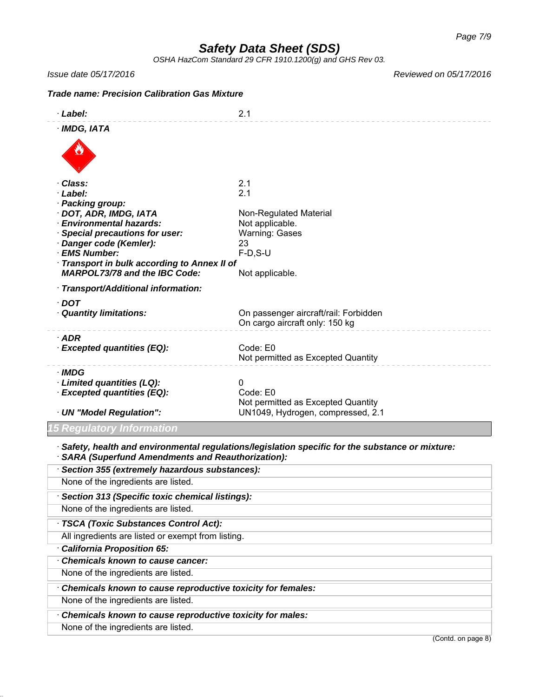*OSHA HazCom Standard 29 CFR 1910.1200(g) and GHS Rev 03.*

*Issue date 05/17/2016 Reviewed on 05/17/2016*

*Trade name: Precision Calibration Gas Mixture*

| · Label:                                                                                                                                                   | 2.1                                            |  |  |  |
|------------------------------------------------------------------------------------------------------------------------------------------------------------|------------------------------------------------|--|--|--|
| · IMDG, IATA                                                                                                                                               |                                                |  |  |  |
|                                                                                                                                                            |                                                |  |  |  |
| Class:                                                                                                                                                     | 2.1                                            |  |  |  |
| · Label:                                                                                                                                                   | 2.1                                            |  |  |  |
| · Packing group:                                                                                                                                           |                                                |  |  |  |
| · DOT, ADR, IMDG, IATA<br>· Environmental hazards:                                                                                                         | Non-Regulated Material<br>Not applicable.      |  |  |  |
| <b>Special precautions for user:</b>                                                                                                                       | <b>Warning: Gases</b>                          |  |  |  |
| Danger code (Kemler):                                                                                                                                      | 23                                             |  |  |  |
| · EMS Number:                                                                                                                                              | $F-D, S-U$                                     |  |  |  |
| <b>Transport in bulk according to Annex II of</b>                                                                                                          |                                                |  |  |  |
| <b>MARPOL73/78 and the IBC Code:</b>                                                                                                                       | Not applicable.                                |  |  |  |
| · Transport/Additional information:                                                                                                                        |                                                |  |  |  |
| $\cdot$ DOT                                                                                                                                                |                                                |  |  |  |
| · Quantity limitations:                                                                                                                                    | On passenger aircraft/rail: Forbidden          |  |  |  |
|                                                                                                                                                            | On cargo aircraft only: 150 kg                 |  |  |  |
| $·$ ADR                                                                                                                                                    |                                                |  |  |  |
| · Excepted quantities (EQ):                                                                                                                                | Code: E0<br>Not permitted as Excepted Quantity |  |  |  |
| · IMDG                                                                                                                                                     |                                                |  |  |  |
| · Limited quantities (LQ):                                                                                                                                 | 0                                              |  |  |  |
| · Excepted quantities (EQ):                                                                                                                                | Code: E0                                       |  |  |  |
|                                                                                                                                                            | Not permitted as Excepted Quantity             |  |  |  |
| · UN "Model Regulation":                                                                                                                                   | UN1049, Hydrogen, compressed, 2.1              |  |  |  |
| i Regulatory Information                                                                                                                                   |                                                |  |  |  |
| Safety, health and environmental regulations/legislation specific for the substance or mixture:<br><b>SARA (Superfund Amendments and Reauthorization):</b> |                                                |  |  |  |
| · Section 355 (extremely hazardous substances):                                                                                                            |                                                |  |  |  |
| None of the ingredients are listed.                                                                                                                        |                                                |  |  |  |
| Section 313 (Specific toxic chemical listings):                                                                                                            |                                                |  |  |  |
| None of the ingredients are listed.                                                                                                                        |                                                |  |  |  |
| · TSCA (Toxic Substances Control Act):                                                                                                                     |                                                |  |  |  |
| All ingredients are listed or exempt from listing.                                                                                                         |                                                |  |  |  |
| · California Proposition 65:                                                                                                                               |                                                |  |  |  |
| Chemicals known to cause cancer:                                                                                                                           |                                                |  |  |  |
| None of the ingredients are listed.                                                                                                                        |                                                |  |  |  |
| Chemicals known to cause reproductive toxicity for females:                                                                                                |                                                |  |  |  |
| None of the ingredients are listed.                                                                                                                        |                                                |  |  |  |
| Chemicals known to cause reproductive toxicity for males:                                                                                                  |                                                |  |  |  |

None of the ingredients are listed.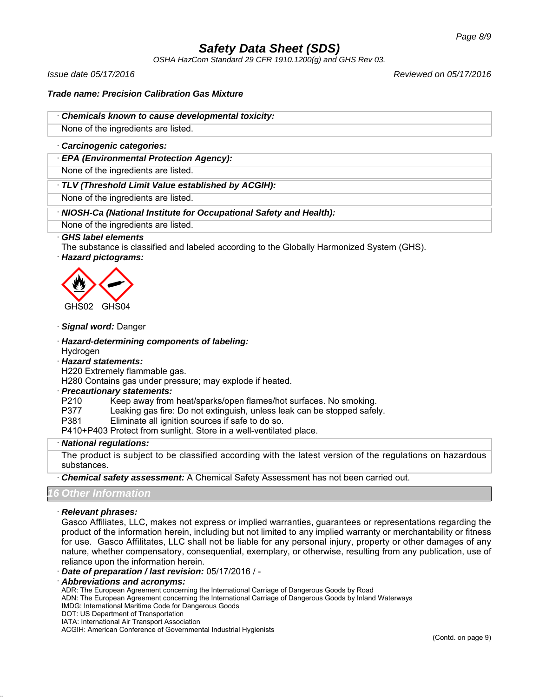*OSHA HazCom Standard 29 CFR 1910.1200(g) and GHS Rev 03.*

*Issue date 05/17/2016 Reviewed on 05/17/2016*

*Trade name: Precision Calibration Gas Mixture*

· *Chemicals known to cause developmental toxicity:*

None of the ingredients are listed.

### · *Carcinogenic categories:*

· *EPA (Environmental Protection Agency):*

None of the ingredients are listed.

· *TLV (Threshold Limit Value established by ACGIH):*

None of the ingredients are listed.

# · *NIOSH-Ca (National Institute for Occupational Safety and Health):*

None of the ingredients are listed.

# · *GHS label elements*

The substance is classified and labeled according to the Globally Harmonized System (GHS).

· *Hazard pictograms:*



# · *Signal word:* Danger

· *Hazard-determining components of labeling:* Hydrogen

· *Hazard statements:*

H220 Extremely flammable gas.

H280 Contains gas under pressure; may explode if heated.

# · *Precautionary statements:*

- P210 Keep away from heat/sparks/open flames/hot surfaces. No smoking.
- P377 Leaking gas fire: Do not extinguish, unless leak can be stopped safely.
- P381 Eliminate all ignition sources if safe to do so.

P410+P403 Protect from sunlight. Store in a well-ventilated place.

#### · *National regulations:*

The product is subject to be classified according with the latest version of the regulations on hazardous substances.

· *Chemical safety assessment:* A Chemical Safety Assessment has not been carried out.

# *16 Other Information*

#### · *Relevant phrases:*

Gasco Affiliates, LLC, makes not express or implied warranties, guarantees or representations regarding the product of the information herein, including but not limited to any implied warranty or merchantability or fitness for use. Gasco Affilitates, LLC shall not be liable for any personal injury, property or other damages of any nature, whether compensatory, consequential, exemplary, or otherwise, resulting from any publication, use of reliance upon the information herein.

- · *Date of preparation / last revision:* 05/17/2016 / -
- · *Abbreviations and acronyms:*

ADR: The European Agreement concerning the International Carriage of Dangerous Goods by Road

ADN: The European Agreement concerning the International Carriage of Dangerous Goods by Inland Waterways

- IMDG: International Maritime Code for Dangerous Goods
- DOT: US Department of Transportation

IATA: International Air Transport Association ACGIH: American Conference of Governmental Industrial Hygienists